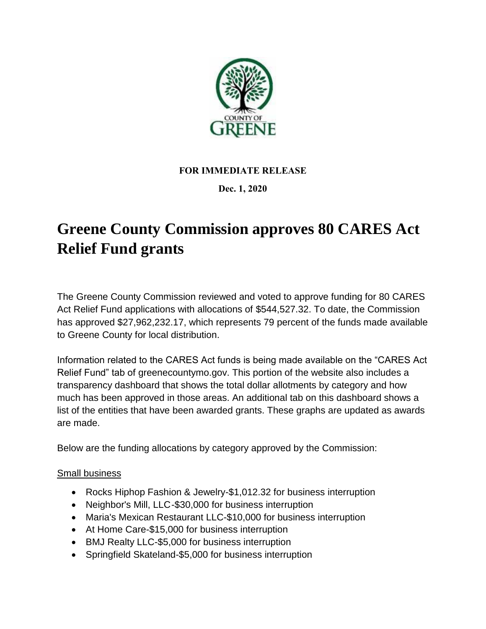

## **FOR IMMEDIATE RELEASE**

## **Dec. 1, 2020**

## **Greene County Commission approves 80 CARES Act Relief Fund grants**

The Greene County Commission reviewed and voted to approve funding for 80 CARES Act Relief Fund applications with allocations of \$544,527.32. To date, the Commission has approved \$27,962,232.17, which represents 79 percent of the funds made available to Greene County for local distribution.

Information related to the CARES Act funds is being made available on the "CARES Act Relief Fund" tab of greenecountymo.gov. This portion of the website also includes a transparency dashboard that shows the total dollar allotments by category and how much has been approved in those areas. An additional tab on this dashboard shows a list of the entities that have been awarded grants. These graphs are updated as awards are made.

Below are the funding allocations by category approved by the Commission:

## Small business

- Rocks Hiphop Fashion & Jewelry-\$1,012.32 for business interruption
- Neighbor's Mill, LLC-\$30,000 for business interruption
- Maria's Mexican Restaurant LLC-\$10,000 for business interruption
- At Home Care-\$15,000 for business interruption
- BMJ Realty LLC-\$5,000 for business interruption
- Springfield Skateland-\$5,000 for business interruption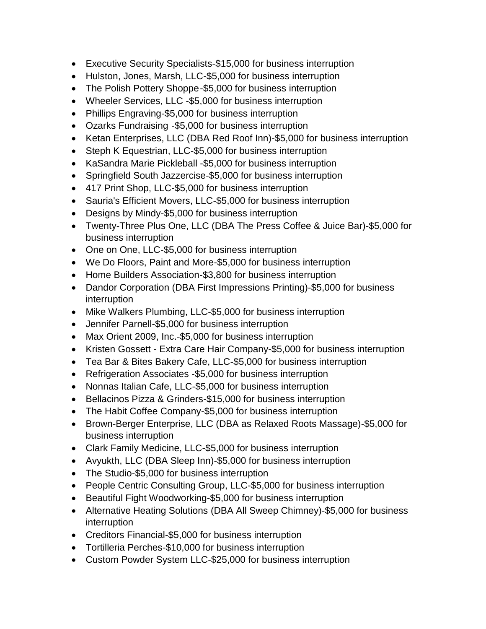- Executive Security Specialists-\$15,000 for business interruption
- Hulston, Jones, Marsh, LLC-\$5,000 for business interruption
- The Polish Pottery Shoppe-\$5,000 for business interruption
- Wheeler Services, LLC -\$5,000 for business interruption
- Phillips Engraving-\$5,000 for business interruption
- Ozarks Fundraising -\$5,000 for business interruption
- Ketan Enterprises, LLC (DBA Red Roof Inn)-\$5,000 for business interruption
- Steph K Equestrian, LLC-\$5,000 for business interruption
- KaSandra Marie Pickleball -\$5,000 for business interruption
- Springfield South Jazzercise-\$5,000 for business interruption
- 417 Print Shop, LLC-\$5,000 for business interruption
- Sauria's Efficient Movers, LLC-\$5,000 for business interruption
- Designs by Mindy-\$5,000 for business interruption
- Twenty-Three Plus One, LLC (DBA The Press Coffee & Juice Bar)-\$5,000 for business interruption
- One on One, LLC-\$5,000 for business interruption
- We Do Floors, Paint and More-\$5,000 for business interruption
- Home Builders Association-\$3,800 for business interruption
- Dandor Corporation (DBA First Impressions Printing)-\$5,000 for business interruption
- Mike Walkers Plumbing, LLC-\$5,000 for business interruption
- Jennifer Parnell-\$5,000 for business interruption
- Max Orient 2009, Inc.-\$5,000 for business interruption
- Kristen Gossett Extra Care Hair Company-\$5,000 for business interruption
- Tea Bar & Bites Bakery Cafe, LLC-\$5,000 for business interruption
- Refrigeration Associates -\$5,000 for business interruption
- Nonnas Italian Cafe, LLC-\$5,000 for business interruption
- Bellacinos Pizza & Grinders-\$15,000 for business interruption
- The Habit Coffee Company-\$5,000 for business interruption
- Brown-Berger Enterprise, LLC (DBA as Relaxed Roots Massage)-\$5,000 for business interruption
- Clark Family Medicine, LLC-\$5,000 for business interruption
- Avyukth, LLC (DBA Sleep Inn)-\$5,000 for business interruption
- The Studio-\$5,000 for business interruption
- People Centric Consulting Group, LLC-\$5,000 for business interruption
- Beautiful Fight Woodworking-\$5,000 for business interruption
- Alternative Heating Solutions (DBA All Sweep Chimney)-\$5,000 for business interruption
- Creditors Financial-\$5,000 for business interruption
- Tortilleria Perches-\$10,000 for business interruption
- Custom Powder System LLC-\$25,000 for business interruption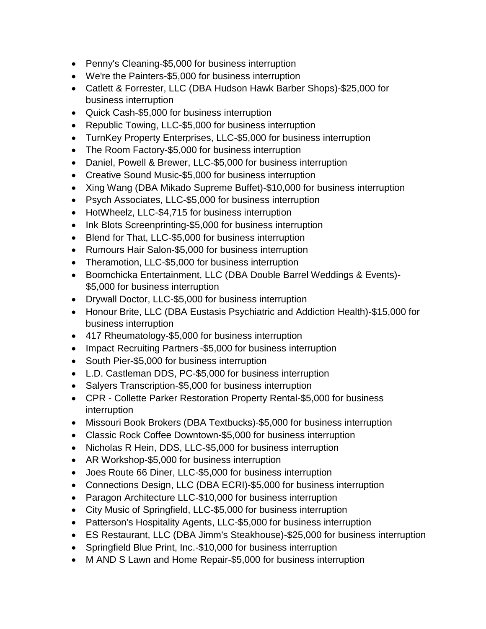- Penny's Cleaning-\$5,000 for business interruption
- We're the Painters-\$5,000 for business interruption
- Catlett & Forrester, LLC (DBA Hudson Hawk Barber Shops)-\$25,000 for business interruption
- Quick Cash-\$5,000 for business interruption
- Republic Towing, LLC-\$5,000 for business interruption
- TurnKey Property Enterprises, LLC-\$5,000 for business interruption
- The Room Factory-\$5,000 for business interruption
- Daniel, Powell & Brewer, LLC-\$5,000 for business interruption
- Creative Sound Music-\$5,000 for business interruption
- Xing Wang (DBA Mikado Supreme Buffet)-\$10,000 for business interruption
- Psych Associates, LLC-\$5,000 for business interruption
- HotWheelz, LLC-\$4,715 for business interruption
- Ink Blots Screenprinting-\$5,000 for business interruption
- Blend for That, LLC-\$5,000 for business interruption
- Rumours Hair Salon-\$5,000 for business interruption
- Theramotion, LLC-\$5,000 for business interruption
- Boomchicka Entertainment, LLC (DBA Double Barrel Weddings & Events)- \$5,000 for business interruption
- Drywall Doctor, LLC-\$5,000 for business interruption
- Honour Brite, LLC (DBA Eustasis Psychiatric and Addiction Health)-\$15,000 for business interruption
- 417 Rheumatology-\$5,000 for business interruption
- Impact Recruiting Partners \$5,000 for business interruption
- South Pier-\$5,000 for business interruption
- L.D. Castleman DDS, PC-\$5,000 for business interruption
- Salyers Transcription-\$5,000 for business interruption
- CPR Collette Parker Restoration Property Rental-\$5,000 for business interruption
- Missouri Book Brokers (DBA Textbucks)-\$5,000 for business interruption
- Classic Rock Coffee Downtown-\$5,000 for business interruption
- Nicholas R Hein, DDS, LLC-\$5,000 for business interruption
- AR Workshop-\$5,000 for business interruption
- Joes Route 66 Diner, LLC-\$5,000 for business interruption
- Connections Design, LLC (DBA ECRI)-\$5,000 for business interruption
- Paragon Architecture LLC-\$10,000 for business interruption
- City Music of Springfield, LLC-\$5,000 for business interruption
- Patterson's Hospitality Agents, LLC-\$5,000 for business interruption
- ES Restaurant, LLC (DBA Jimm's Steakhouse)-\$25,000 for business interruption
- Springfield Blue Print, Inc.-\$10,000 for business interruption
- M AND S Lawn and Home Repair-\$5,000 for business interruption